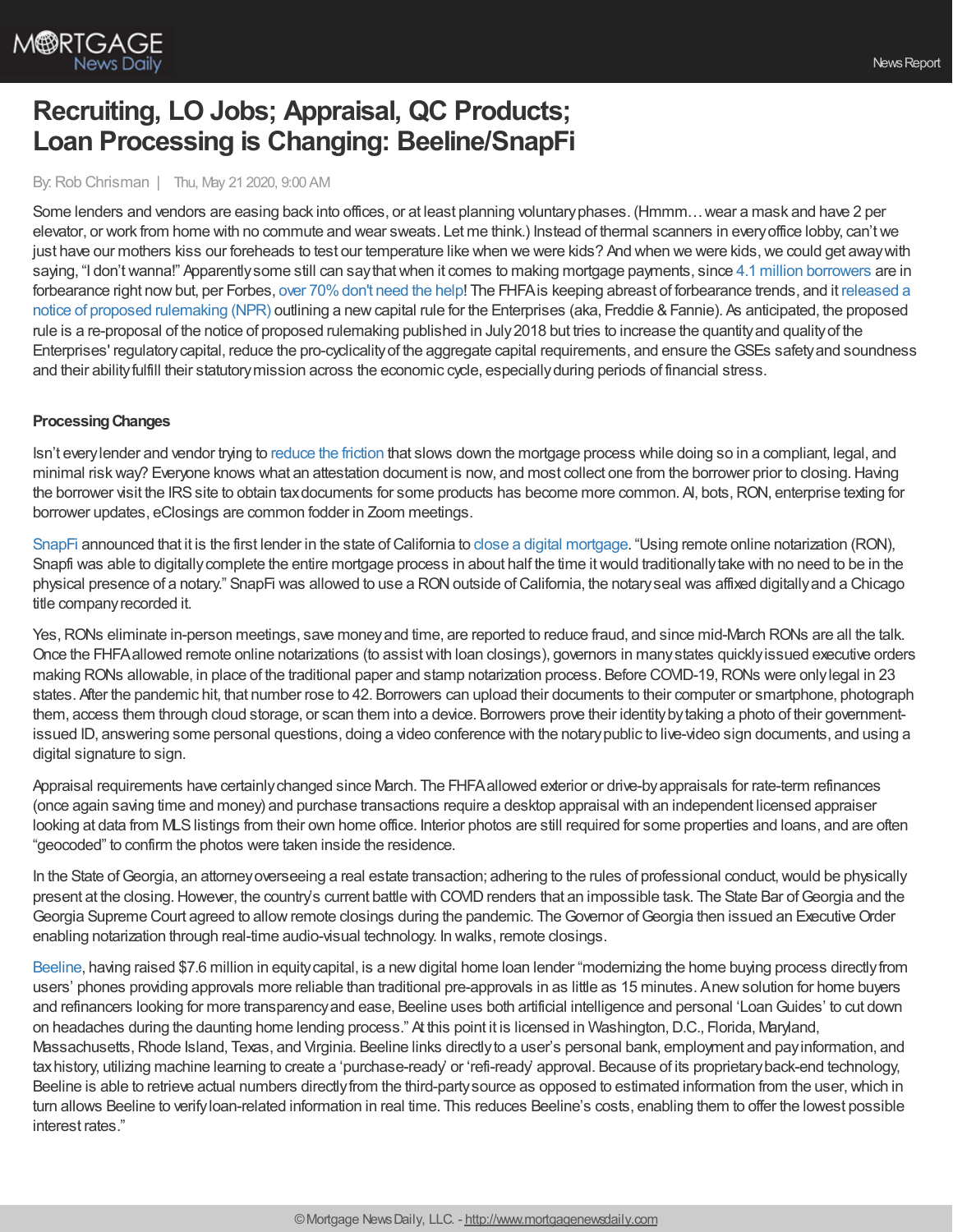

# **Recruiting, LO Jobs; Appraisal, QC Products; Loan Processing is Changing: Beeline/SnapFi**

## By:Rob Chrisman | Thu, May 21 2020, 9:00 AM

Some lenders and vendors are easing back into offices, or at least planning voluntaryphases. (Hmmm…wear a mask and have 2 per elevator, or work from home with no commute and wear sweats. Let me think.) Instead of thermal scanners in everyoffice lobby, can'twe just have our mothers kiss our foreheads to test our temperature like when we were kids? And when we were kids, we could get away with saying, "I don'twanna!" Apparentlysome still can saythatwhen it comes to making mortgage payments, since 4.1 million [borrowers](https://newslink.mba.org/mba-newslinks/2020/may/mba-newslink-wednesday-may-20-2020/over-4-million-americans-are-now-skipping-their-mortgage-payments/) are in [forbearance](https://www.fhfa.gov/Media/PublicAffairs/Pages/FHFA-Releases-Re-Proposed-Capital-Rule-for-the-Enterprises.aspx) right now but, per Forbes, over 70% don't need the help! The FHFA is keeping abreast of forbearance trends, and it released a notice of proposed rulemaking (NPR) outlining a new capital rule for the Enterprises (aka, Freddie & Fannie). As anticipated, the proposed rule is a re-proposal of the notice of proposed rulemaking published in July 2018 but tries to increase the quantity and quality of the Enterprises' regulatorycapital, reduce the pro-cyclicalityof the aggregate capital requirements, and ensure theGSEs safetyand soundness and their abilityfulfill their statutorymission across the economic cycle, especiallyduring periods of financial stress.

## **ProcessingChanges**

Isn't everylender and vendor trying to [reduce](https://www.stratmorgroup.com/reducing-friction/) the friction that slows down the mortgage process while doing so in a compliant, legal, and minimal risk way? Everyone knows what an attestation document is now, and most collect one from the borrower prior to closing. Having the borrower visit the IRS site to obtain tax documents for some products has become more common. A, bots, RON, enterprise texting for borrower updates, eClosings are common fodder in Zoom meetings.

[SnapFi](https://www.snapfi.com/) announced that it is the first lender in the state of California to close a digital [mortgage.](https://finance.yahoo.com/news/snapfi-first-lender-california-close-150000742.html) "Using remote online notarization (RON), Snapfi was able to digitally complete the entire mortgage process in about half the time it would traditionally take with no need to be in the physical presence of a notary." SnapFi was allowed to use a RONoutside ofCalifornia, the notaryseal was affixed digitallyand a Chicago title companyrecorded it.

Yes,RONs eliminate in-person meetings, save moneyand time, are reported to reduce fraud, and since mid-March RONs are all the talk. Once the FHFAallowed remote online notarizations (to assistwith loan closings), governors in manystates quicklyissued executive orders making RONs allowable, in place of the traditional paper and stamp notarization process. Before COVID-19,RONs were onlylegal in 23 states. After the pandemic hit, that number rose to 42. Borrowers can upload their documents to their computer or smartphone, photograph them, access them through cloud storage, or scan them into a device. Borrowers prove their identitybytaking a photo of their governmentissued ID, answering some personal questions, doing a video conference with the notarypublic to live-video sign documents, and using a digital signature to sign.

Appraisal requirements have certainlychanged since March. The FHFAallowed exterior or drive-byappraisals for rate-term refinances (once again saving time and money) and purchase transactions require a desktop appraisal with an independent licensed appraiser looking at data from MLSlistings from their own home office. Interior photos are still required for some properties and loans, and are often "geocoded" to confirm the photos were taken inside the residence.

In the State of Georgia, an attorney overseeing a real estate transaction; adhering to the rules of professional conduct, would be physically present at the closing. However, the country's current battle with COVID renders that an impossible task. The State Bar of Georgia and the Georgia Supreme Court agreed to allow remote closings during the pandemic. The Governor of Georgia then issued an Executive Order enabling notarization through real-time audio-visual technology. In walks, remote closings.

[Beeline](http://www.makeabeeline.com/), having raised \$7.6 million in equity capital, is a new digital home loan lender "modernizing the home buying process directly from users' phones providing approvals more reliable than traditional pre-approvals in as little as 15 minutes. Anewsolution for home buyers and refinancers looking for more transparencyand ease, Beeline uses both artificial intelligence and personal 'LoanGuides' to cut down on headaches during the daunting home lending process." At this point it is licensed in Washington, D.C., Florida, Maryland, Massachusetts, Rhode Island, Texas, and Virginia. Beeline links directly to a user's personal bank, employment and pay information, and taxhistory, utilizing machine learning to create a 'purchase-ready' or 'refi-ready' approval. Because of its proprietaryback-end technology,

Beeline is able to retrieve actual numbers directly from the third-party source as opposed to estimated information from the user, which in turn allows Beeline to verifyloan-related information in real time. This reduces Beeline's costs, enabling them to offer the lowest possible interest rates."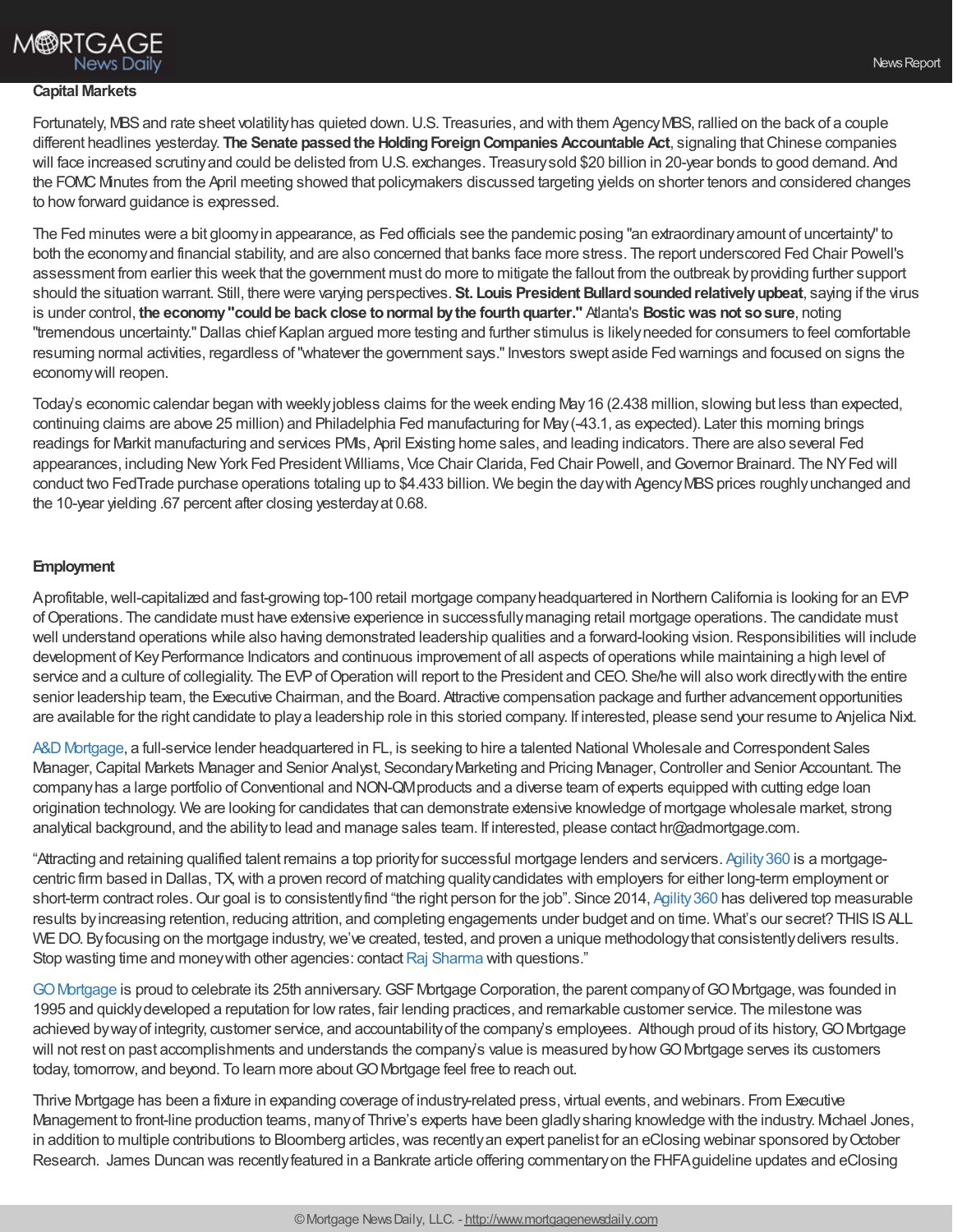# **M®RTGAGE News Daily**

## **Capital Markets**

Fortunately, MBS and rate sheet volatility has quieted down. U.S. Treasuries, and with them Agency MBS, rallied on the back of a couple different headlines yesterday. **The Senate passedthe HoldingForeignCompanies Accountable Act**, signaling thatChinese companies will face increased scrutinyand could be delisted from U.S. exchanges. Treasurysold \$20 billion in 20-year bonds to good demand. And the FOMC Minutes from the April meeting showed that policymakers discussed targeting yields on shorter tenors and considered changes to how forward guidance is expressed.

The Fed minutes were a bit gloomyin appearance, as Fed officials see the pandemic posing "an extraordinaryamount of uncertainty"to both the economyand financial stability, and are also concerned that banks face more stress. The report underscored Fed Chair Powell's assessment from earlier this week that the government must do more to mitigate the fallout from the outbreak byproviding further support should the situation warrant. Still, there were varying perspectives. **St. Louis President Bullardsoundedrelativelyupbeat**, saying if the virus is under control, **the economy"couldbe back close tonormal bythe fourthquarter."** Atlanta's **Bosticwas not sosure**, noting "tremendous uncertainty."Dallas chief Kaplan argued more testing and further stimulus is likelyneeded for consumers to feel comfortable resuming normal activities, regardless of "whatever the government says." Investors swept aside Fed warnings and focused on signs the economywill reopen.

Today's economic calendar began with weeklyjobless claims for the week ending May16 (2.438 million, slowing but less than expected, continuing claims are above 25 million) and Philadelphia Fed manufacturing for May(-43.1, as expected). Later this morning brings readings for Markit manufacturing and services PMIs, April Existing home sales, and leading indicators. There are also several Fed appearances, including NewYork Fed President Williams, Vice Chair Clarida, Fed Chair Powell, andGovernor Brainard. The NYFed will conduct two FedTrade purchase operations totaling up to \$4.433 billion. We begin the day with Agency MBS prices roughly unchanged and the 10-year yielding .67 percent after closing yesterdayat 0.68.

## **Employment**

Aprofitable, well-capitalized and fast-growing top-100 retail mortgage company headquartered in Northern California is looking for an EVP ofOperations. The candidate must have extensive experience in successfullymanaging retail mortgage operations. The candidate must well understand operations while also having demonstrated leadership qualities and a forward-looking vision. Responsibilities will include development of KeyPerformance Indicators and continuous improvement of all aspects of operations while maintaining a high level of service and a culture of collegiality. The EVP of Operation will report to the President and CEO. She/he will also work directly with the entire senior leadership team, the Executive Chairman, and the Board. Attractive compensation package and further advancement opportunities are available for the right candidate to playa leadership role in this storied company. If interested, please send your resume to Anjelica Nixt.

A&D [Mortgage,](https://admortgage.com/) a full-service lender headquartered in FL, is seeking to hire a talented National Wholesale and Correspondent Sales Manager, Capital Markets Manager and Senior Analyst, Secondary Marketing and Pricing Manager, Controller and Senior Accountant. The company has a large portfolio of Conventional and NON-QM products and a diverse team of experts equipped with cutting edge loan origination technology. We are looking for candidates that can demonstrate extensive knowledge of mortgage wholesale market, strong analytical background, and the abilityto lead and manage sales team. If interested, please contact hr@admortgage.com.

"Attracting and retaining qualified talent remains a top priorityfor successful mortgage lenders and servicers. [Agility360](https://www.agility360.net/) is a mortgagecentric firm based in Dallas, TX,with a proven record of matching qualitycandidates with employers for either long-term employment or short-term contract roles. Our goal is to consistently find "the right person for the job". Since 2014, Agility 360 has delivered top measurable results by increasing retention, reducing attrition, and completing engagements under budget and on time. What's our secret? THIS IS ALL WE DO. By focusing on the mortgage industry, we've created, tested, and proven a unique methodology that consistently delivers results. Stop wasting time and money with other agencies: contact Raj [Sharma](https://outlook.office.com/mail/deeplink/compose/rsharma@agility360.net) with questions."

GO Mortgage is proud to celebrate its 25th anniversary. GSF Mortgage Corporation, the parent company of GO Mortgage, was founded in 1995 and quickly developed a reputation for low rates, fair lending practices, and remarkable customer service. The milestone was achieved bywayof integrity, customer service, and accountabilityof the company's employees. Although proud of its history,GOMortgage will not rest on past accomplishments and understands the company's value is measured by how GO Mortgage serves its customers today, tomorrow, and beyond. To learn more about GO Mortgage feel free to reach out.

Thrive Mortgage has been a fixture in expanding coverage of industry-related press, virtual events, and webinars. From Executive Management to front-line production teams, manyof Thrive's experts have been gladlysharing knowledge with the industry. Michael Jones, in addition to multiple contributions to Bloomberg articles, was recently an expert panelist for an eClosing webinar sponsored by October Research. James Duncan was recentlyfeatured in a Bankrate article offering commentaryon the FHFAguideline updates and eClosing